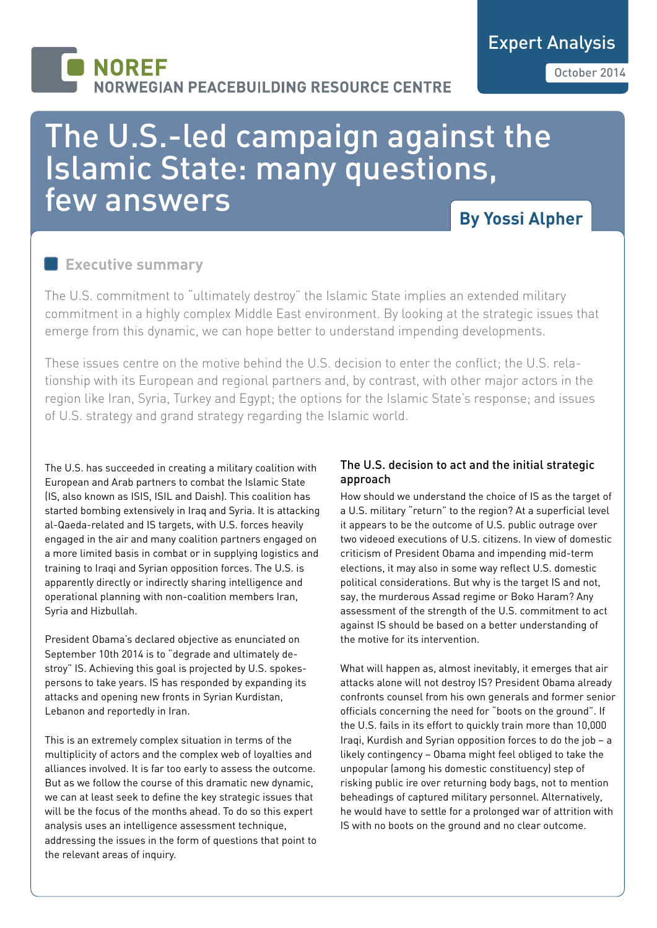# **NORFF JORWEGIAN PEACEBUILDING RESOURCE CENTRE**

# The U.S.-led campaign against the Islamic State: many questions, few answers

# **By Yossi Alpher**

### **Executive summary**

The U.S. commitment to "ultimately destroy" the Islamic State implies an extended military commitment in a highly complex Middle East environment. By looking at the strategic issues that emerge from this dynamic, we can hope better to understand impending developments.

These issues centre on the motive behind the U.S. decision to enter the conflict; the U.S. relationship with its European and regional partners and, by contrast, with other major actors in the region like Iran, Syria, Turkey and Egypt; the options for the Islamic State's response; and issues of U.S. strategy and grand strategy regarding the Islamic world.

The U.S. has succeeded in creating a military coalition with European and Arab partners to combat the Islamic State (IS, also known as ISIS, ISIL and Daish). This coalition has started bombing extensively in Iraq and Syria. It is attacking al-Qaeda-related and IS targets, with U.S. forces heavily engaged in the air and many coalition partners engaged on a more limited basis in combat or in supplying logistics and training to Iraqi and Syrian opposition forces. The U.S. is apparently directly or indirectly sharing intelligence and operational planning with non-coalition members Iran, Syria and Hizbullah.

President Obama's declared objective as enunciated on September 10th 2014 is to "degrade and ultimately destroy" IS. Achieving this goal is projected by U.S. spokespersons to take years. IS has responded by expanding its attacks and opening new fronts in Syrian Kurdistan, Lebanon and reportedly in Iran.

This is an extremely complex situation in terms of the multiplicity of actors and the complex web of loyalties and alliances involved. It is far too early to assess the outcome. But as we follow the course of this dramatic new dynamic, we can at least seek to define the key strategic issues that will be the focus of the months ahead. To do so this expert analysis uses an intelligence assessment technique, addressing the issues in the form of questions that point to the relevant areas of inquiry.

#### The U.S. decision to act and the initial strategic approach

How should we understand the choice of IS as the target of a U.S. military "return" to the region? At a superficial level it appears to be the outcome of U.S. public outrage over two videoed executions of U.S. citizens. In view of domestic criticism of President Obama and impending mid-term elections, it may also in some way reflect U.S. domestic political considerations. But why is the target IS and not, say, the murderous Assad regime or Boko Haram? Any assessment of the strength of the U.S. commitment to act against IS should be based on a better understanding of the motive for its intervention.

What will happen as, almost inevitably, it emerges that air attacks alone will not destroy IS? President Obama already confronts counsel from his own generals and former senior officials concerning the need for "boots on the ground". If the U.S. fails in its effort to quickly train more than 10,000 Iraqi, Kurdish and Syrian opposition forces to do the job – a likely contingency – Obama might feel obliged to take the unpopular (among his domestic constituency) step of risking public ire over returning body bags, not to mention beheadings of captured military personnel. Alternatively, he would have to settle for a prolonged war of attrition with IS with no boots on the ground and no clear outcome.

Expert Analysis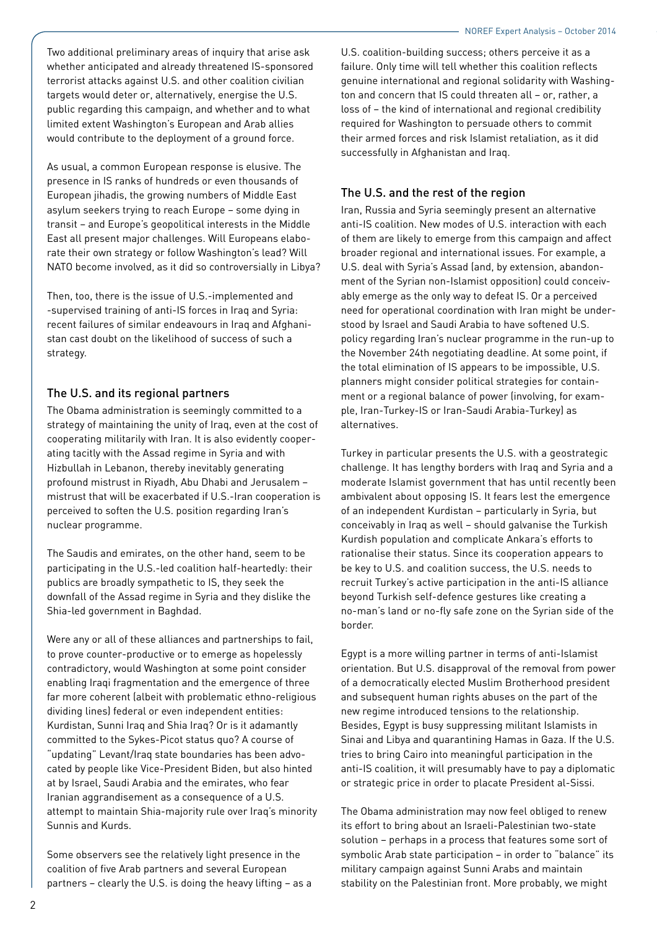Two additional preliminary areas of inquiry that arise ask whether anticipated and already threatened IS-sponsored terrorist attacks against U.S. and other coalition civilian targets would deter or, alternatively, energise the U.S. public regarding this campaign, and whether and to what limited extent Washington's European and Arab allies would contribute to the deployment of a ground force.

As usual, a common European response is elusive. The presence in IS ranks of hundreds or even thousands of European jihadis, the growing numbers of Middle East asylum seekers trying to reach Europe – some dying in transit – and Europe's geopolitical interests in the Middle East all present major challenges. Will Europeans elaborate their own strategy or follow Washington's lead? Will NATO become involved, as it did so controversially in Libya?

Then, too, there is the issue of U.S.-implemented and -supervised training of anti-IS forces in Iraq and Syria: recent failures of similar endeavours in Iraq and Afghanistan cast doubt on the likelihood of success of such a strategy.

#### The U.S. and its regional partners

The Obama administration is seemingly committed to a strategy of maintaining the unity of Iraq, even at the cost of cooperating militarily with Iran. It is also evidently cooperating tacitly with the Assad regime in Syria and with Hizbullah in Lebanon, thereby inevitably generating profound mistrust in Riyadh, Abu Dhabi and Jerusalem – mistrust that will be exacerbated if U.S.-Iran cooperation is perceived to soften the U.S. position regarding Iran's nuclear programme.

The Saudis and emirates, on the other hand, seem to be participating in the U.S.-led coalition half-heartedly: their publics are broadly sympathetic to IS, they seek the downfall of the Assad regime in Syria and they dislike the Shia-led government in Baghdad.

Were any or all of these alliances and partnerships to fail, to prove counter-productive or to emerge as hopelessly contradictory, would Washington at some point consider enabling Iraqi fragmentation and the emergence of three far more coherent (albeit with problematic ethno-religious dividing lines) federal or even independent entities: Kurdistan, Sunni Iraq and Shia Iraq? Or is it adamantly committed to the Sykes-Picot status quo? A course of "updating" Levant/Iraq state boundaries has been advocated by people like Vice-President Biden, but also hinted at by Israel, Saudi Arabia and the emirates, who fear Iranian aggrandisement as a consequence of a U.S. attempt to maintain Shia-majority rule over Iraq's minority Sunnis and Kurds.

Some observers see the relatively light presence in the coalition of five Arab partners and several European partners – clearly the U.S. is doing the heavy lifting – as a

U.S. coalition-building success; others perceive it as a failure. Only time will tell whether this coalition reflects genuine international and regional solidarity with Washington and concern that IS could threaten all – or, rather, a loss of – the kind of international and regional credibility required for Washington to persuade others to commit their armed forces and risk Islamist retaliation, as it did successfully in Afghanistan and Iraq.

### The U.S. and the rest of the region

Iran, Russia and Syria seemingly present an alternative anti-IS coalition. New modes of U.S. interaction with each of them are likely to emerge from this campaign and affect broader regional and international issues. For example, a U.S. deal with Syria's Assad (and, by extension, abandonment of the Syrian non-Islamist opposition) could conceivably emerge as the only way to defeat IS. Or a perceived need for operational coordination with Iran might be understood by Israel and Saudi Arabia to have softened U.S. policy regarding Iran's nuclear programme in the run-up to the November 24th negotiating deadline. At some point, if the total elimination of IS appears to be impossible, U.S. planners might consider political strategies for containment or a regional balance of power (involving, for example, Iran-Turkey-IS or Iran-Saudi Arabia-Turkey) as alternatives.

Turkey in particular presents the U.S. with a geostrategic challenge. It has lengthy borders with Iraq and Syria and a moderate Islamist government that has until recently been ambivalent about opposing IS. It fears lest the emergence of an independent Kurdistan – particularly in Syria, but conceivably in Iraq as well – should galvanise the Turkish Kurdish population and complicate Ankara's efforts to rationalise their status. Since its cooperation appears to be key to U.S. and coalition success, the U.S. needs to recruit Turkey's active participation in the anti-IS alliance beyond Turkish self-defence gestures like creating a no-man's land or no-fly safe zone on the Syrian side of the border.

Egypt is a more willing partner in terms of anti-Islamist orientation. But U.S. disapproval of the removal from power of a democratically elected Muslim Brotherhood president and subsequent human rights abuses on the part of the new regime introduced tensions to the relationship. Besides, Egypt is busy suppressing militant Islamists in Sinai and Libya and quarantining Hamas in Gaza. If the U.S. tries to bring Cairo into meaningful participation in the anti-IS coalition, it will presumably have to pay a diplomatic or strategic price in order to placate President al-Sissi.

The Obama administration may now feel obliged to renew its effort to bring about an Israeli-Palestinian two-state solution – perhaps in a process that features some sort of symbolic Arab state participation – in order to "balance" its military campaign against Sunni Arabs and maintain stability on the Palestinian front. More probably, we might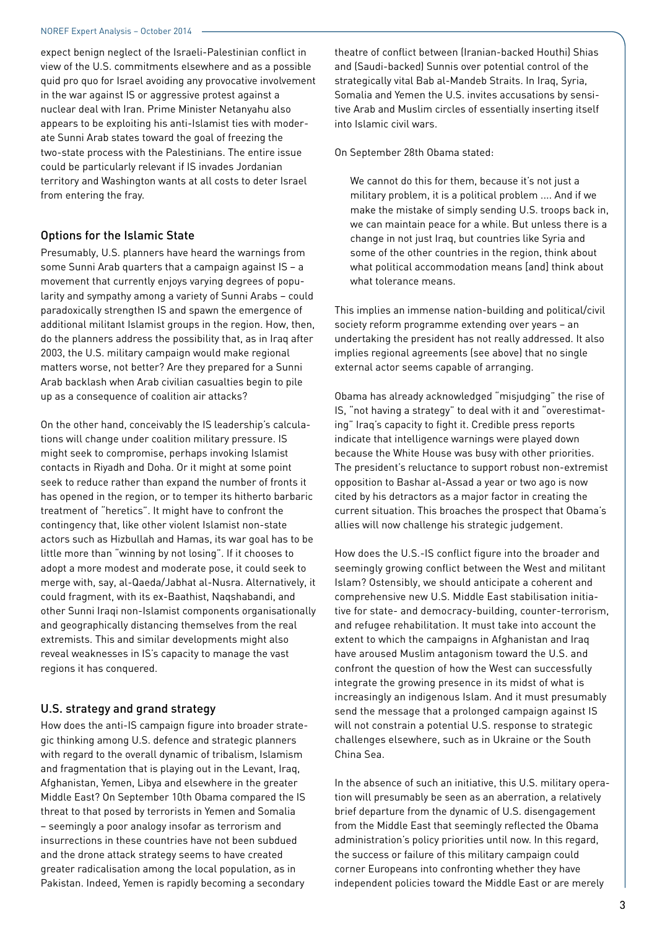expect benign neglect of the Israeli-Palestinian conflict in view of the U.S. commitments elsewhere and as a possible quid pro quo for Israel avoiding any provocative involvement in the war against IS or aggressive protest against a nuclear deal with Iran. Prime Minister Netanyahu also appears to be exploiting his anti-Islamist ties with moderate Sunni Arab states toward the goal of freezing the two-state process with the Palestinians. The entire issue could be particularly relevant if IS invades Jordanian territory and Washington wants at all costs to deter Israel from entering the fray.

#### Options for the Islamic State

Presumably, U.S. planners have heard the warnings from some Sunni Arab quarters that a campaign against IS – a movement that currently enjoys varying degrees of popularity and sympathy among a variety of Sunni Arabs – could paradoxically strengthen IS and spawn the emergence of additional militant Islamist groups in the region. How, then, do the planners address the possibility that, as in Iraq after 2003, the U.S. military campaign would make regional matters worse, not better? Are they prepared for a Sunni Arab backlash when Arab civilian casualties begin to pile up as a consequence of coalition air attacks?

On the other hand, conceivably the IS leadership's calculations will change under coalition military pressure. IS might seek to compromise, perhaps invoking Islamist contacts in Riyadh and Doha. Or it might at some point seek to reduce rather than expand the number of fronts it has opened in the region, or to temper its hitherto barbaric treatment of "heretics". It might have to confront the contingency that, like other violent Islamist non-state actors such as Hizbullah and Hamas, its war goal has to be little more than "winning by not losing". If it chooses to adopt a more modest and moderate pose, it could seek to merge with, say, al-Qaeda/Jabhat al-Nusra. Alternatively, it could fragment, with its ex-Baathist, Naqshabandi, and other Sunni Iraqi non-Islamist components organisationally and geographically distancing themselves from the real extremists. This and similar developments might also reveal weaknesses in IS's capacity to manage the vast regions it has conquered.

#### U.S. strategy and grand strategy

How does the anti-IS campaign figure into broader strategic thinking among U.S. defence and strategic planners with regard to the overall dynamic of tribalism, Islamism and fragmentation that is playing out in the Levant, Iraq, Afghanistan, Yemen, Libya and elsewhere in the greater Middle East? On September 10th Obama compared the IS threat to that posed by terrorists in Yemen and Somalia – seemingly a poor analogy insofar as terrorism and insurrections in these countries have not been subdued and the drone attack strategy seems to have created greater radicalisation among the local population, as in Pakistan. Indeed, Yemen is rapidly becoming a secondary

theatre of conflict between (Iranian-backed Houthi) Shias and (Saudi-backed) Sunnis over potential control of the strategically vital Bab al-Mandeb Straits. In Iraq, Syria, Somalia and Yemen the U.S. invites accusations by sensitive Arab and Muslim circles of essentially inserting itself into Islamic civil wars.

#### On September 28th Obama stated:

We cannot do this for them, because it's not just a military problem, it is a political problem .... And if we make the mistake of simply sending U.S. troops back in, we can maintain peace for a while. But unless there is a change in not just Iraq, but countries like Syria and some of the other countries in the region, think about what political accommodation means [and] think about what tolerance means.

This implies an immense nation-building and political/civil society reform programme extending over years – an undertaking the president has not really addressed. It also implies regional agreements (see above) that no single external actor seems capable of arranging.

Obama has already acknowledged "misjudging" the rise of IS, "not having a strategy" to deal with it and "overestimating" Iraq's capacity to fight it. Credible press reports indicate that intelligence warnings were played down because the White House was busy with other priorities. The president's reluctance to support robust non-extremist opposition to Bashar al-Assad a year or two ago is now cited by his detractors as a major factor in creating the current situation. This broaches the prospect that Obama's allies will now challenge his strategic judgement.

How does the U.S.-IS conflict figure into the broader and seemingly growing conflict between the West and militant Islam? Ostensibly, we should anticipate a coherent and comprehensive new U.S. Middle East stabilisation initiative for state- and democracy-building, counter-terrorism, and refugee rehabilitation. It must take into account the extent to which the campaigns in Afghanistan and Iraq have aroused Muslim antagonism toward the U.S. and confront the question of how the West can successfully integrate the growing presence in its midst of what is increasingly an indigenous Islam. And it must presumably send the message that a prolonged campaign against IS will not constrain a potential U.S. response to strategic challenges elsewhere, such as in Ukraine or the South China Sea.

In the absence of such an initiative, this U.S. military operation will presumably be seen as an aberration, a relatively brief departure from the dynamic of U.S. disengagement from the Middle East that seemingly reflected the Obama administration's policy priorities until now. In this regard, the success or failure of this military campaign could corner Europeans into confronting whether they have independent policies toward the Middle East or are merely